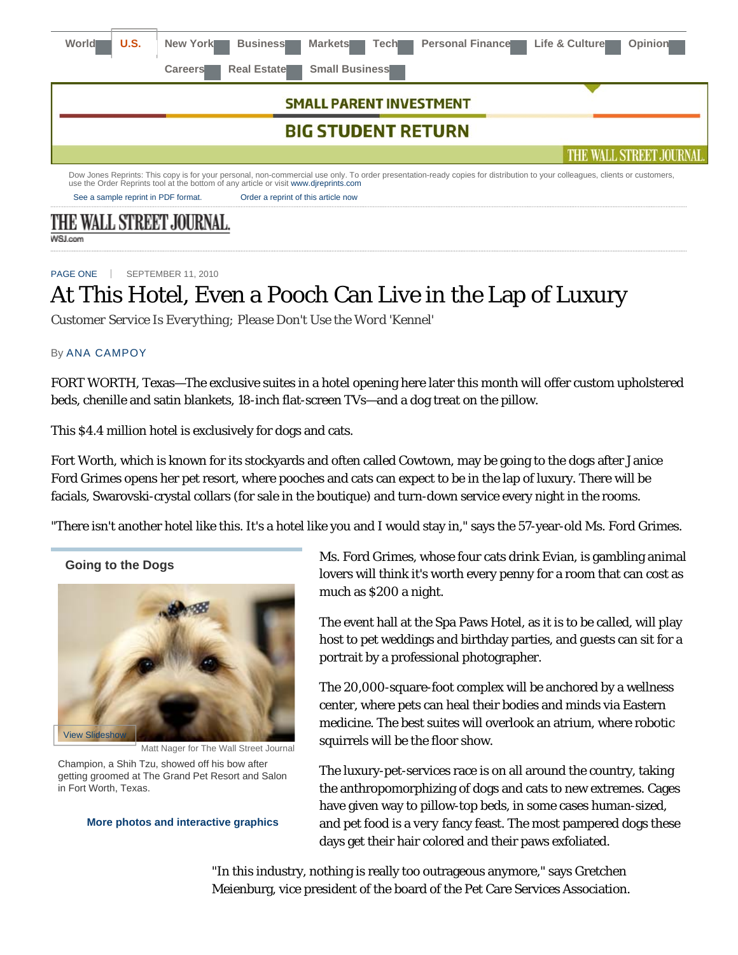| <b>U.S.</b><br>World                                                                                                                                                                                                                                                                                                                             | <b>Personal Finance</b><br>New York<br><b>Business</b><br>Life & Culture<br><b>Markets</b><br><b>Tech</b><br><b>Opinion</b> |
|--------------------------------------------------------------------------------------------------------------------------------------------------------------------------------------------------------------------------------------------------------------------------------------------------------------------------------------------------|-----------------------------------------------------------------------------------------------------------------------------|
|                                                                                                                                                                                                                                                                                                                                                  | <b>Small Business</b><br><b>Real Estatell</b><br><b>Careers</b>                                                             |
| <b>SMALL PARENT INVESTMENT</b>                                                                                                                                                                                                                                                                                                                   |                                                                                                                             |
| <b>BIG STUDENT RETURN</b>                                                                                                                                                                                                                                                                                                                        |                                                                                                                             |
|                                                                                                                                                                                                                                                                                                                                                  | <b>THE WALL STREET JOURNAL</b>                                                                                              |
| Dow Jones Reprints: This copy is for your personal, non-commercial use only. To order presentation-ready copies for distribution to your colleagues, clients or customers,<br>use the Order Reprints tool at the bottom of any article or visit www.direprints.com<br>See a sample reprint in PDF format.<br>Order a reprint of this article now |                                                                                                                             |

## THE WALL STREET JOURNAL.

PAGE ONE | SEPTEMBER 11, 2010

## At This Hotel, Even a Pooch Can Live in the Lap of Luxury

*Customer Service Is Everything; Please Don't Use the Word 'Kennel'*

## By ANA CAMPOY

FORT WORTH, Texas—The exclusive suites in a hotel opening here later this month will offer custom upholstered beds, chenille and satin blankets, 18-inch flat-screen TVs—and a dog treat on the pillow.

This \$4.4 million hotel is exclusively for dogs and cats.

Fort Worth, which is known for its stockyards and often called Cowtown, may be going to the dogs after Janice Ford Grimes opens her pet resort, where pooches and cats can expect to be in the lap of luxury. There will be facials, Swarovski-crystal collars (for sale in the boutique) and turn-down service every night in the rooms.

"There isn't another hotel like this. It's a hotel like you and I would stay in," says the 57-year-old Ms. Ford Grimes.

**Going to the Dogs**



Matt Nager for The Wall Street Journal

Champion, a Shih Tzu, showed off his bow after getting groomed at The Grand Pet Resort and Salon in Fort Worth, Texas.

**More photos and interactive graphics**

Ms. Ford Grimes, whose four cats drink Evian, is gambling animal lovers will think it's worth every penny for a room that can cost as much as \$200 a night.

The event hall at the Spa Paws Hotel, as it is to be called, will play host to pet weddings and birthday parties, and guests can sit for a portrait by a professional photographer.

The 20,000-square-foot complex will be anchored by a wellness center, where pets can heal their bodies and minds via Eastern medicine. The best suites will overlook an atrium, where robotic squirrels will be the floor show.

The luxury-pet-services race is on all around the country, taking the anthropomorphizing of dogs and cats to new extremes. Cages have given way to pillow-top beds, in some cases human-sized, and pet food is a *very* fancy feast. The most pampered dogs these days get their hair colored and their paws exfoliated.

"In this industry, nothing is really too outrageous anymore," says Gretchen Meienburg, vice president of the board of the Pet Care Services Association.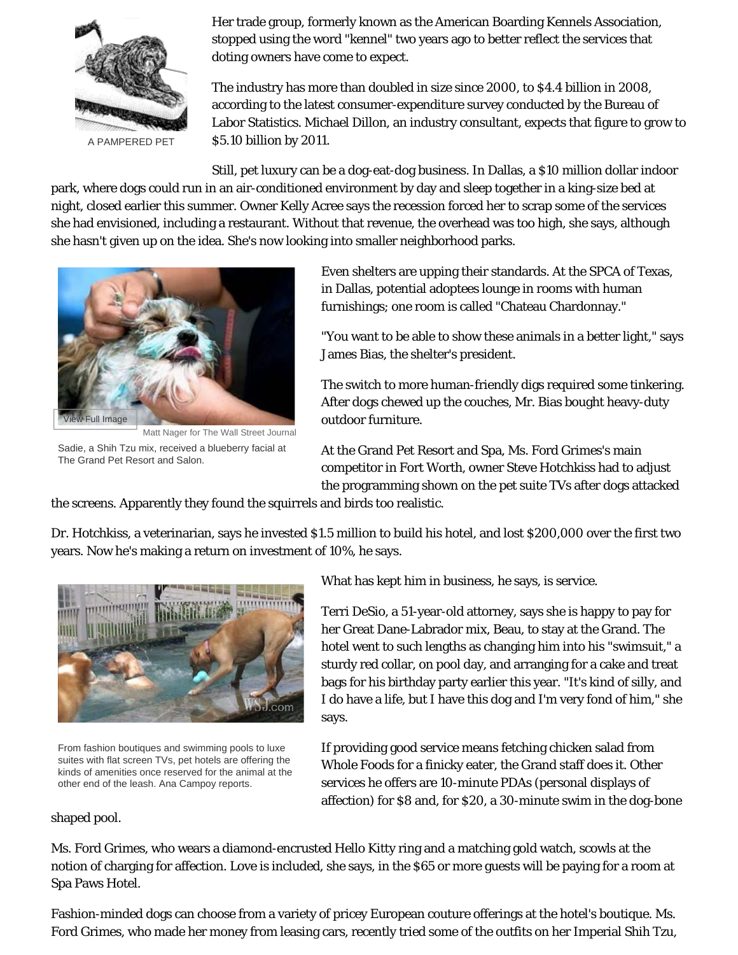

A PAMPERED PET

The Grand Pet Resort and Salon.

Her trade group, formerly known as the American Boarding Kennels Association, stopped using the word "kennel" two years ago to better reflect the services that doting owners have come to expect.

The industry has more than doubled in size since 2000, to \$4.4 billion in 2008, according to the latest consumer-expenditure survey conducted by the Bureau of Labor Statistics. Michael Dillon, an industry consultant, expects that figure to grow to \$5.10 billion by 2011.

Still, pet luxury can be a dog-eat-dog business. In Dallas, a \$10 million dollar indoor park, where dogs could run in an air-conditioned environment by day and sleep together in a king-size bed at night, closed earlier this summer. Owner Kelly Acree says the recession forced her to scrap some of the services she had envisioned, including a restaurant. Without that revenue, the overhead was too high, she says, although she hasn't given up on the idea. She's now looking into smaller neighborhood parks.



Matt Nager for The Wall Street Journal Sadie, a Shih Tzu mix, received a blueberry facial at

Even shelters are upping their standards. At the SPCA of Texas, in Dallas, potential adoptees lounge in rooms with human furnishings; one room is called "Chateau Chardonnay."

"You want to be able to show these animals in a better light," says James Bias, the shelter's president.

The switch to more human-friendly digs required some tinkering. After dogs chewed up the couches, Mr. Bias bought heavy-duty outdoor furniture.

At the Grand Pet Resort and Spa, Ms. Ford Grimes's main competitor in Fort Worth, owner Steve Hotchkiss had to adjust the programming shown on the pet suite TVs after dogs attacked

the screens. Apparently they found the squirrels and birds too realistic.

Dr. Hotchkiss, a veterinarian, says he invested \$1.5 million to build his hotel, and lost \$200,000 over the first two years. Now he's making a return on investment of 10%, he says.



From fashion boutiques and swimming pools to luxe suites with flat screen TVs, pet hotels are offering the kinds of amenities once reserved for the animal at the other end of the leash. Ana Campoy reports.

shaped pool.

What has kept him in business, he says, is service.

Terri DeSio, a 51-year-old attorney, says she is happy to pay for her Great Dane-Labrador mix, Beau, to stay at the Grand. The hotel went to such lengths as changing him into his "swimsuit," a sturdy red collar, on pool day, and arranging for a cake and treat bags for his birthday party earlier this year. "It's kind of silly, and I do have a life, but I have this dog and I'm very fond of him," she says.

If providing good service means fetching chicken salad from Whole Foods for a finicky eater, the Grand staff does it. Other services he offers are 10-minute PDAs (personal displays of affection) for \$8 and, for \$20, a 30-minute swim in the dog-bone

Ms. Ford Grimes, who wears a diamond-encrusted Hello Kitty ring and a matching gold watch, scowls at the notion of charging for affection. Love is included, she says, in the \$65 or more guests will be paying for a room at Spa Paws Hotel.

Fashion-minded dogs can choose from a variety of pricey European couture offerings at the hotel's boutique. Ms. Ford Grimes, who made her money from leasing cars, recently tried some of the outfits on her Imperial Shih Tzu,